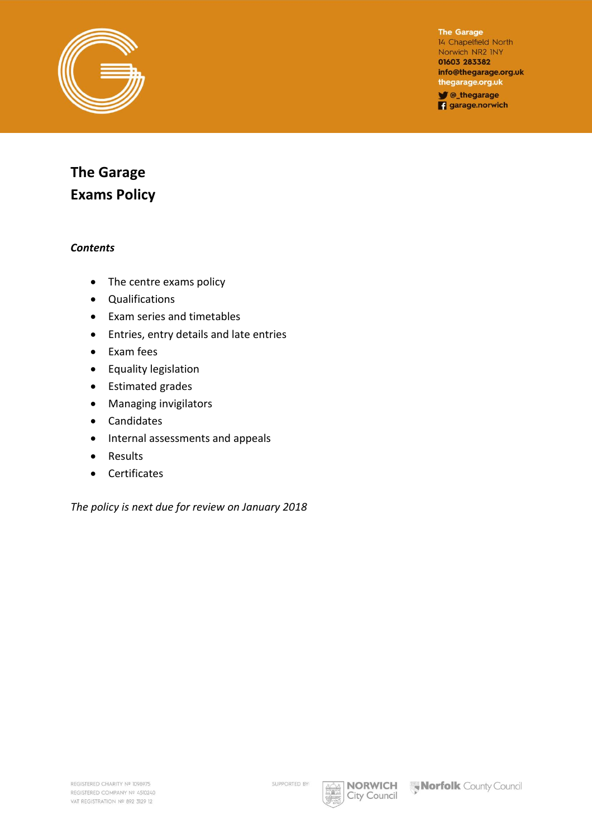

The Garage 14 Chapelfield North Norwich NR2 INY 01603 283382 info@thegarage.org.uk thegarage.org.uk Chegarage

**q** garage.norwich

# **The Garage Exams Policy**

#### *Contents*

- The centre exams policy
- Qualifications
- Exam series and timetables
- Entries, entry details and late entries
- Exam fees
- Equality legislation
- Estimated grades
- Managing invigilators
- Candidates
- Internal assessments and appeals
- Results
- Certificates

*The policy is next due for review on January 2018* 

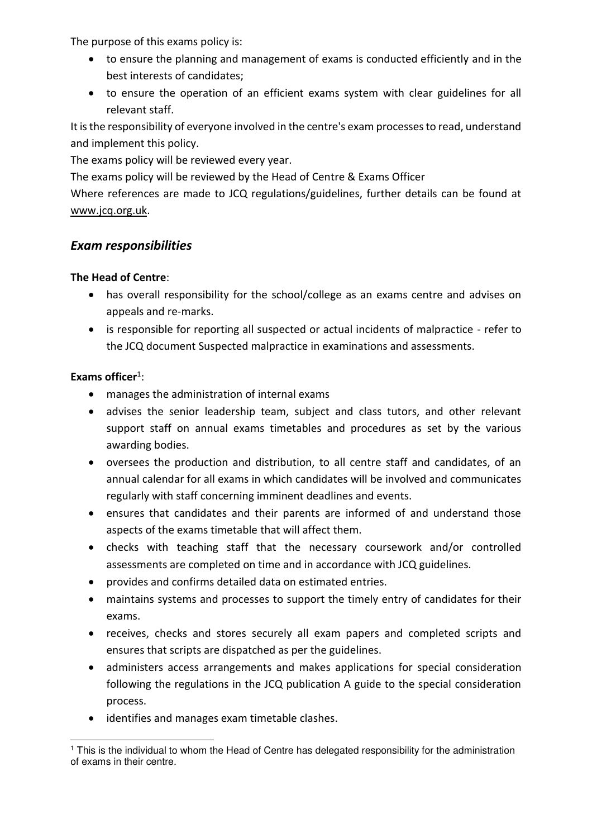The purpose of this exams policy is:

- to ensure the planning and management of exams is conducted efficiently and in the best interests of candidates;
- to ensure the operation of an efficient exams system with clear guidelines for all relevant staff.

It is the responsibility of everyone involved in the centre's exam processes to read, understand and implement this policy.

The exams policy will be reviewed every year.

The exams policy will be reviewed by the Head of Centre & Exams Officer

Where references are made to JCQ regulations/guidelines, further details can be found at [www.jcq.org.uk.](http://www.jcq.org.uk/)

#### *Exam responsibilities*

#### **The Head of Centre**:

- has overall responsibility for the school/college as an exams centre and advises on appeals and re-marks.
- is responsible for reporting all suspected or actual incidents of malpractice refer to the JCQ document Suspected malpractice in examinations and assessments.

#### Exams officer<sup>1</sup>:

- manages the administration of internal exams
- advises the senior leadership team, subject and class tutors, and other relevant support staff on annual exams timetables and procedures as set by the various awarding bodies.
- oversees the production and distribution, to all centre staff and candidates, of an annual calendar for all exams in which candidates will be involved and communicates regularly with staff concerning imminent deadlines and events.
- ensures that candidates and their parents are informed of and understand those aspects of the exams timetable that will affect them.
- checks with teaching staff that the necessary coursework and/or controlled assessments are completed on time and in accordance with JCQ guidelines.
- provides and confirms detailed data on estimated entries.
- maintains systems and processes to support the timely entry of candidates for their exams.
- receives, checks and stores securely all exam papers and completed scripts and ensures that scripts are dispatched as per the guidelines.
- administers access arrangements and makes applications for special consideration following the regulations in the JCQ publication A guide to the special consideration process.
- identifies and manages exam timetable clashes.

j 1 This is the individual to whom the Head of Centre has delegated responsibility for the administration of exams in their centre.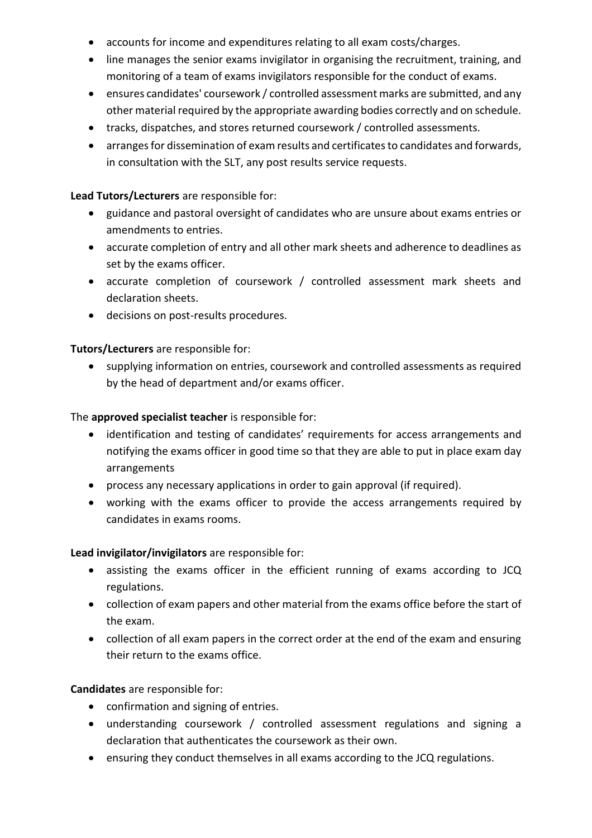- accounts for income and expenditures relating to all exam costs/charges.
- line manages the senior exams invigilator in organising the recruitment, training, and monitoring of a team of exams invigilators responsible for the conduct of exams.
- ensures candidates' coursework / controlled assessment marks are submitted, and any other material required by the appropriate awarding bodies correctly and on schedule.
- tracks, dispatches, and stores returned coursework / controlled assessments.
- arranges for dissemination of exam results and certificates to candidates and forwards, in consultation with the SLT, any post results service requests.

#### **Lead Tutors/Lecturers** are responsible for:

- guidance and pastoral oversight of candidates who are unsure about exams entries or amendments to entries.
- accurate completion of entry and all other mark sheets and adherence to deadlines as set by the exams officer.
- accurate completion of coursework / controlled assessment mark sheets and declaration sheets.
- decisions on post-results procedures.

#### **Tutors/Lecturers** are responsible for:

 supplying information on entries, coursework and controlled assessments as required by the head of department and/or exams officer.

#### The **approved specialist teacher** is responsible for:

- identification and testing of candidates' requirements for access arrangements and notifying the exams officer in good time so that they are able to put in place exam day arrangements
- process any necessary applications in order to gain approval (if required).
- working with the exams officer to provide the access arrangements required by candidates in exams rooms.

#### **Lead invigilator/invigilators** are responsible for:

- assisting the exams officer in the efficient running of exams according to JCQ regulations.
- collection of exam papers and other material from the exams office before the start of the exam.
- collection of all exam papers in the correct order at the end of the exam and ensuring their return to the exams office.

#### **Candidates** are responsible for:

- confirmation and signing of entries.
- understanding coursework / controlled assessment regulations and signing a declaration that authenticates the coursework as their own.
- ensuring they conduct themselves in all exams according to the JCQ regulations.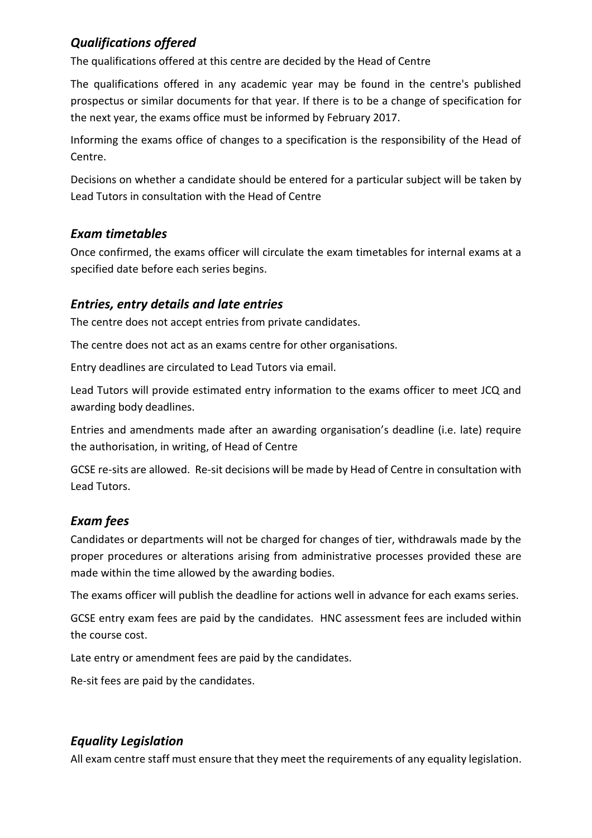## *Qualifications offered*

The qualifications offered at this centre are decided by the Head of Centre

The qualifications offered in any academic year may be found in the centre's published prospectus or similar documents for that year. If there is to be a change of specification for the next year, the exams office must be informed by February 2017.

Informing the exams office of changes to a specification is the responsibility of the Head of Centre.

Decisions on whether a candidate should be entered for a particular subject will be taken by Lead Tutors in consultation with the Head of Centre

## *Exam timetables*

Once confirmed, the exams officer will circulate the exam timetables for internal exams at a specified date before each series begins.

## *Entries, entry details and late entries*

The centre does not accept entries from private candidates.

The centre does not act as an exams centre for other organisations.

Entry deadlines are circulated to Lead Tutors via email.

Lead Tutors will provide estimated entry information to the exams officer to meet JCQ and awarding body deadlines.

Entries and amendments made after an awarding organisation's deadline (i.e. late) require the authorisation, in writing, of Head of Centre

GCSE re-sits are allowed. Re-sit decisions will be made by Head of Centre in consultation with Lead Tutors.

## *Exam fees*

Candidates or departments will not be charged for changes of tier, withdrawals made by the proper procedures or alterations arising from administrative processes provided these are made within the time allowed by the awarding bodies.

The exams officer will publish the deadline for actions well in advance for each exams series.

GCSE entry exam fees are paid by the candidates. HNC assessment fees are included within the course cost.

Late entry or amendment fees are paid by the candidates.

Re-sit fees are paid by the candidates.

## *Equality Legislation*

All exam centre staff must ensure that they meet the requirements of any equality legislation.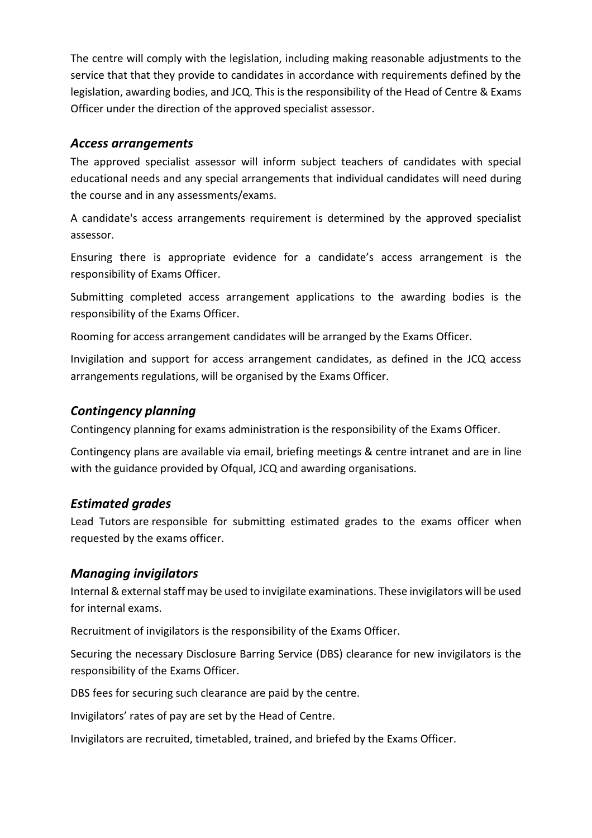The centre will comply with the legislation, including making reasonable adjustments to the service that that they provide to candidates in accordance with requirements defined by the legislation, awarding bodies, and JCQ. This is the responsibility of the Head of Centre & Exams Officer under the direction of the approved specialist assessor.

#### *Access arrangements*

The approved specialist assessor will inform subject teachers of candidates with special educational needs and any special arrangements that individual candidates will need during the course and in any assessments/exams.

A candidate's access arrangements requirement is determined by the approved specialist assessor.

Ensuring there is appropriate evidence for a candidate's access arrangement is the responsibility of Exams Officer.

Submitting completed access arrangement applications to the awarding bodies is the responsibility of the Exams Officer.

Rooming for access arrangement candidates will be arranged by the Exams Officer.

Invigilation and support for access arrangement candidates, as defined in the JCQ access arrangements regulations, will be organised by the Exams Officer.

#### *Contingency planning*

Contingency planning for exams administration is the responsibility of the Exams Officer.

Contingency plans are available via email, briefing meetings & centre intranet and are in line with the guidance provided by Ofqual, JCQ and awarding organisations.

#### *Estimated grades*

Lead Tutors are responsible for submitting estimated grades to the exams officer when requested by the exams officer.

#### *Managing invigilators*

Internal & external staff may be used to invigilate examinations. These invigilators will be used for internal exams.

Recruitment of invigilators is the responsibility of the Exams Officer.

Securing the necessary Disclosure Barring Service (DBS) clearance for new invigilators is the responsibility of the Exams Officer.

DBS fees for securing such clearance are paid by the centre.

Invigilators' rates of pay are set by the Head of Centre.

Invigilators are recruited, timetabled, trained, and briefed by the Exams Officer.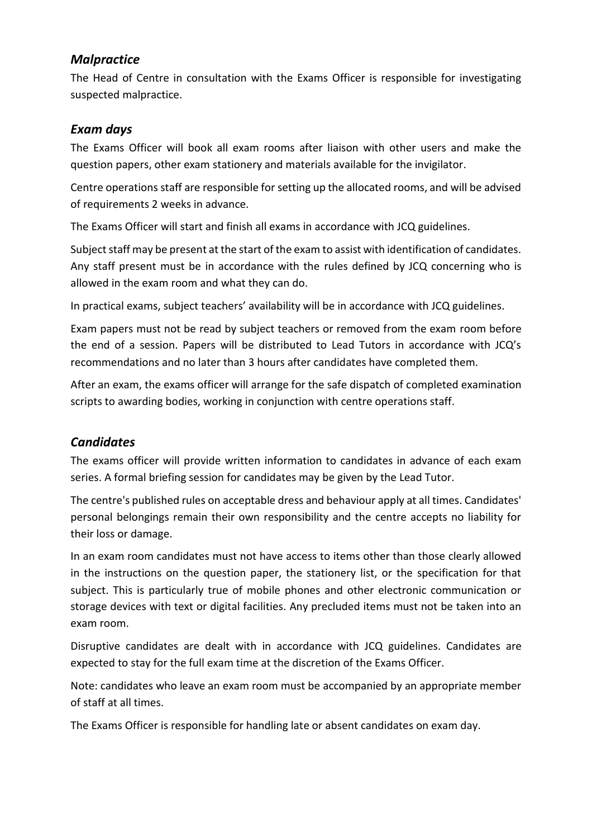## *Malpractice*

The Head of Centre in consultation with the Exams Officer is responsible for investigating suspected malpractice.

#### *Exam days*

The Exams Officer will book all exam rooms after liaison with other users and make the question papers, other exam stationery and materials available for the invigilator.

Centre operations staff are responsible for setting up the allocated rooms, and will be advised of requirements 2 weeks in advance.

The Exams Officer will start and finish all exams in accordance with JCQ guidelines.

Subject staff may be present at the start of the exam to assist with identification of candidates. Any staff present must be in accordance with the rules defined by JCQ concerning who is allowed in the exam room and what they can do.

In practical exams, subject teachers' availability will be in accordance with JCQ guidelines.

Exam papers must not be read by subject teachers or removed from the exam room before the end of a session. Papers will be distributed to Lead Tutors in accordance with JCQ's recommendations and no later than 3 hours after candidates have completed them.

After an exam, the exams officer will arrange for the safe dispatch of completed examination scripts to awarding bodies, working in conjunction with centre operations staff.

## *Candidates*

The exams officer will provide written information to candidates in advance of each exam series. A formal briefing session for candidates may be given by the Lead Tutor.

The centre's published rules on acceptable dress and behaviour apply at all times. Candidates' personal belongings remain their own responsibility and the centre accepts no liability for their loss or damage.

In an exam room candidates must not have access to items other than those clearly allowed in the instructions on the question paper, the stationery list, or the specification for that subject. This is particularly true of mobile phones and other electronic communication or storage devices with text or digital facilities. Any precluded items must not be taken into an exam room.

Disruptive candidates are dealt with in accordance with JCQ guidelines. Candidates are expected to stay for the full exam time at the discretion of the Exams Officer.

Note: candidates who leave an exam room must be accompanied by an appropriate member of staff at all times.

The Exams Officer is responsible for handling late or absent candidates on exam day.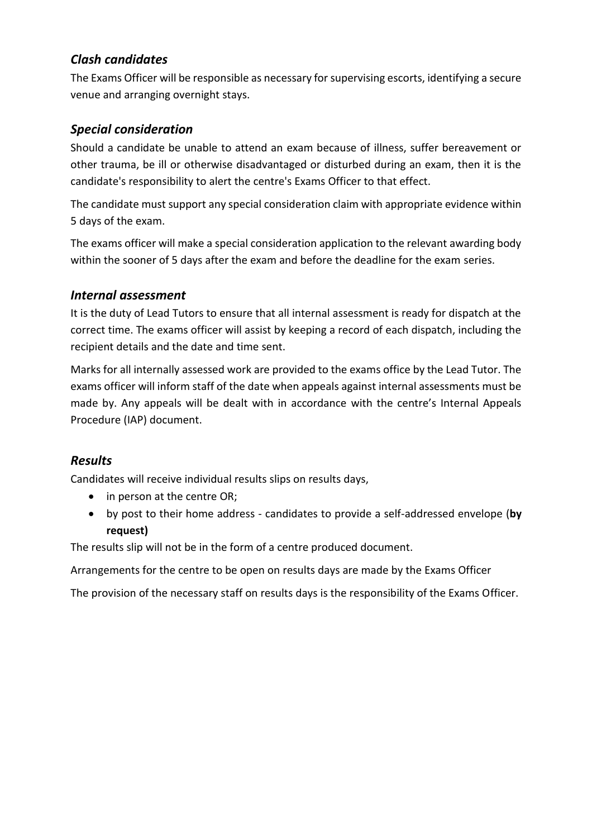## *Clash candidates*

The Exams Officer will be responsible as necessary for supervising escorts, identifying a secure venue and arranging overnight stays.

## *Special consideration*

Should a candidate be unable to attend an exam because of illness, suffer bereavement or other trauma, be ill or otherwise disadvantaged or disturbed during an exam, then it is the candidate's responsibility to alert the centre's Exams Officer to that effect.

The candidate must support any special consideration claim with appropriate evidence within 5 days of the exam.

The exams officer will make a special consideration application to the relevant awarding body within the sooner of 5 days after the exam and before the deadline for the exam series.

#### *Internal assessment*

It is the duty of Lead Tutors to ensure that all internal assessment is ready for dispatch at the correct time. The exams officer will assist by keeping a record of each dispatch, including the recipient details and the date and time sent.

Marks for all internally assessed work are provided to the exams office by the Lead Tutor. The exams officer will inform staff of the date when appeals against internal assessments must be made by. Any appeals will be dealt with in accordance with the centre's Internal Appeals Procedure (IAP) document.

## *Results*

Candidates will receive individual results slips on results days,

- in person at the centre OR;
- by post to their home address candidates to provide a self-addressed envelope (**by request)**

The results slip will not be in the form of a centre produced document.

Arrangements for the centre to be open on results days are made by the Exams Officer

The provision of the necessary staff on results days is the responsibility of the Exams Officer.